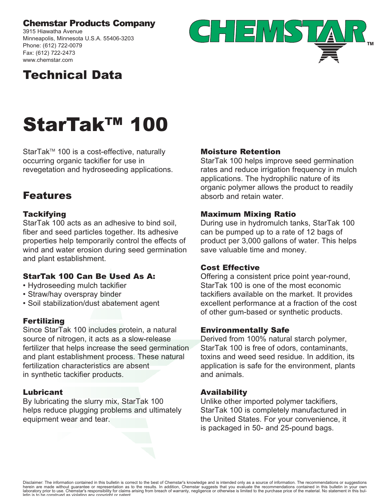### Chemstar Products Company

3915 Hiawatha Avenue Minneapolis, Minnesota U.S.A. 55406-3203 Phone: (612) 722-0079 Fax: (612) 722-2473 www.chemstar.com



## Technical Data

# StarTak™ 100

StarTak™ 100 is a cost-effective, naturally occurring organic tackifier for use in revegetation and hydroseeding applications.

## Features

#### **Tackifying**

StarTak 100 acts as an adhesive to bind soil, fiber and seed particles together. Its adhesive properties help temporarily control the effects of wind and water erosion during seed germination and plant establishment.

#### StarTak 100 Can Be Used As A:

- Hydroseeding mulch tackifier
- Straw/hay overspray binder
- Soil stabilization/dust abatement agent

#### Fertilizing

Since StarTak 100 includes protein, a natural source of nitrogen, it acts as a slow-release fertilizer that helps increase the seed germination and plant establishment process. These natural fertilization characteristics are absent in synthetic tackifier products.

#### Lubricant

By lubricating the slurry mix, StarTak 100 helps reduce plugging problems and ultimately equipment wear and tear.

#### Moisture Retention

StarTak 100 helps improve seed germination rates and reduce irrigation frequency in mulch applications. The hydrophilic nature of its organic polymer allows the product to readily absorb and retain water.

#### Maximum Mixing Ratio

During use in hydromulch tanks, StarTak 100 can be pumped up to a rate of 12 bags of product per 3,000 gallons of water. This helps save valuable time and money.

#### Cost Effective

Offering a consistent price point year-round, StarTak 100 is one of the most economic tackifiers available on the market. It provides excellent performance at a fraction of the cost of other gum-based or synthetic products.

#### Environmentally Safe

Derived from 100% natural starch polymer, StarTak 100 is free of odors, contaminants, toxins and weed seed residue. In addition, its application is safe for the environment, plants and animals.

#### Availability

Unlike other imported polymer tackifiers, StarTak 100 is completely manufactured in the United States. For your convenience, it is packaged in 50- and 25-pound bags.

Disclaimer: The information contained in this bulletin is correct to the best of Chemstar's knowledge and is intended only as a source of information. The recommendations or suggestions herein are made without guarantee or representation as to the results. In addition, Chemstar suggests that you evaluate the recommendations contained in this bulletin in your own<br>laboratory prior to use. Chemstar's respon